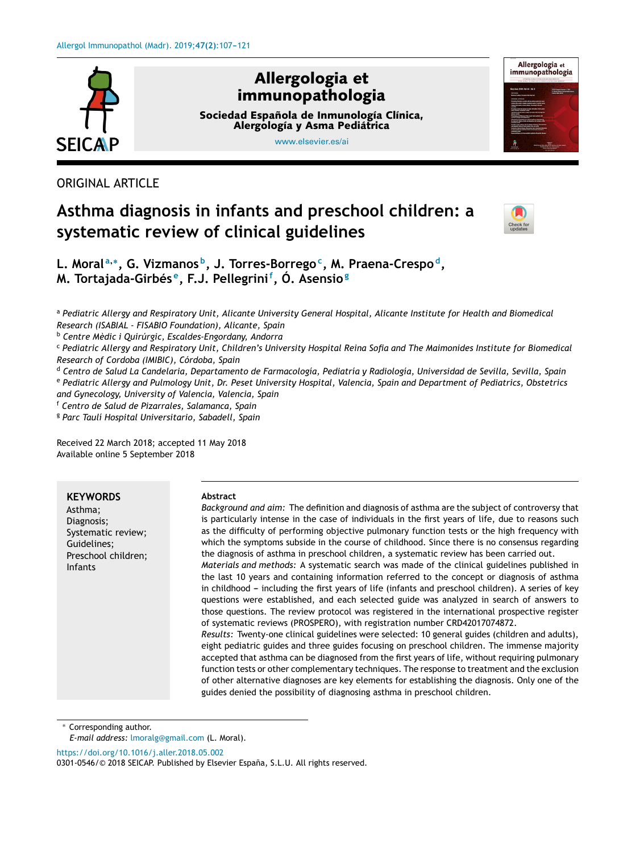

ORIGINAL ARTICLE

# **Asthma diagnosis in infants and preschool children: a systematic review of clinical guidelines**



**L. Moral <sup>a</sup>**,<sup>∗</sup> **, G. Vizmanos <sup>b</sup> , J. Torres-Borrego<sup>c</sup> , M. Praena-Crespo <sup>d</sup> , M. Tortajada-Girbés <sup>e</sup> , F.J. Pellegrini<sup>f</sup> , Ó. Asensio<sup>g</sup>**

a Pediatric Allergy and Respiratory Unit, Alicante University General Hospital, Alicante Institute for Health and Biomedical *Research (ISABIAL - FISABIO Foundation), Alicante, Spain*

<sup>b</sup> *Centre Mèdic i Quirúrgic, Escaldes-Engordany, Andorra*

<sup>c</sup> Pediatric Allergy and Respiratory Unit, Children's University Hospital Reina Sofia and The Maimonides Institute for Biomedical *Research of Cordoba (IMIBIC), Córdoba, Spain*

<sup>d</sup> Centro de Salud La Candelaria, Departamento de Farmacología, Pediatría y Radiología, Universidad de Sevilla, Sevilla, Spain <sup>e</sup> Pediatric Allergy and Pulmology Unit, Dr. Peset University Hospital, Valencia, Spain and Department of Pediatrics, Obstetrics *and Gynecology, University of Valencia, Valencia, Spain*

<sup>f</sup> *Centro de Salud de Pizarrales, Salamanca, Spain*

<sup>g</sup> *Parc Taulí Hospital Universitario, Sabadell, Spain*

Received 22 March 2018; accepted 11 May 2018 Available online 5 September 2018

| <b>KEYWORDS</b>     | <b>Abstract</b>                                                                                    |
|---------------------|----------------------------------------------------------------------------------------------------|
| Asthma;             | Background and aim: The definition and diagnosis of asthma are the subject of controversy that     |
| Diagnosis;          | is particularly intense in the case of individuals in the first years of life, due to reasons such |
| Systematic review;  | as the difficulty of performing objective pulmonary function tests or the high frequency with      |
| Guidelines:         | which the symptoms subside in the course of childhood. Since there is no consensus regarding       |
| Preschool children; | the diagnosis of asthma in preschool children, a systematic review has been carried out.           |
| <b>Infants</b>      | Materials and methods: A systematic search was made of the clinical guidelines published in        |
|                     | the last 10 years and containing information referred to the concept or diagnosis of asthma        |
|                     | in childhood – including the first years of life (infants and preschool children). A series of key |
|                     | questions were established, and each selected guide was analyzed in search of answers to           |
|                     | those questions. The review protocol was registered in the international prospective register      |
|                     | of systematic reviews (PROSPERO), with registration number CRD42017074872.                         |
|                     | Results: Twenty-one clinical guidelines were selected: 10 general guides (children and adults),    |
|                     | eight pediatric guides and three guides focusing on preschool children. The immense majority       |
|                     | accepted that asthma can be diagnosed from the first years of life, without requiring pulmonary    |
|                     | function tests or other complementary techniques. The response to treatment and the exclusion      |
|                     | of other alternative diagnoses are key elements for establishing the diagnosis. Only one of the    |
|                     | guides denied the possibility of diagnosing asthma in preschool children.                          |

Corresponding author. *E-mail address:* [lmoralg@gmail.com](mailto:lmoralg@gmail.com) (L. Moral).

<https://doi.org/10.1016/j.aller.2018.05.002>

<sup>0301-0546/© 2018</sup> SEICAP. Published by Elsevier España, S.L.U. All rights reserved.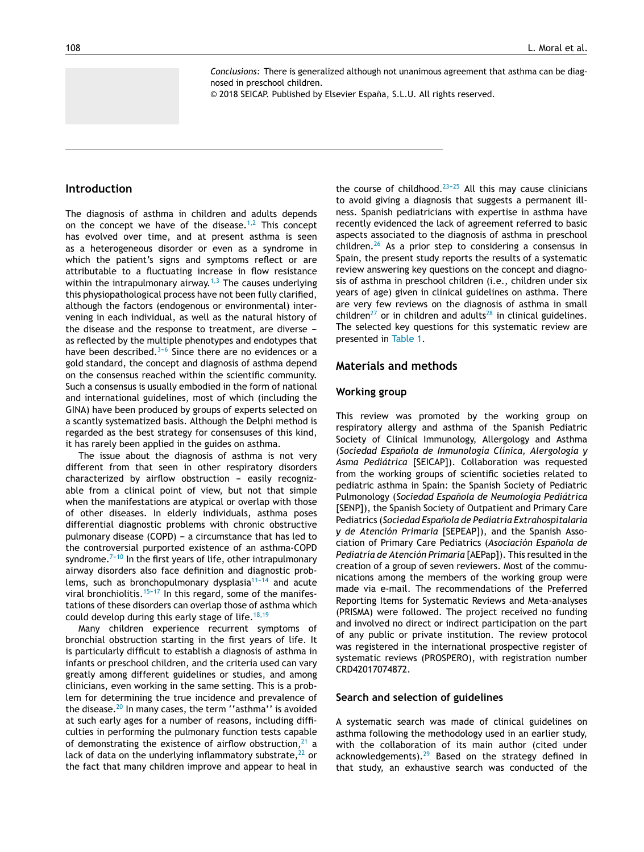*Conclusions:* There is generalized although not unanimous agreement that asthma can be diagnosed in preschool children.

© 2018 SEICAP. Published by Elsevier España, S.L.U. All rights reserved.

# **Introduction**

The diagnosis of asthma in children and adults depends on the concept we have of the disease.<sup>[1,2](#page-12-0)</sup> This concept has evolved over time, and at present asthma is seen as a heterogeneous disorder or even as a syndrome in which the patient's signs and symptoms reflect or are attributable to a fluctuating increase in flow resistance within the intrapulmonary airway.<sup>[1,3](#page-12-0)</sup> The causes underlying this physiopathological process have not been fully clarified, although the factors (endogenous or environmental) intervening in each individual, as well as the natural history of the disease and the response to treatment, are diverse  $$ as reflected by the multiple phenotypes and endotypes that have been described. $3-6$  Since there are no evidences or a gold standard, the concept and diagnosis of asthma depend on the consensus reached within the scientific community. Such a consensus is usually embodied in the form of national and international guidelines, most of which (including the GINA) have been produced by groups of experts selected on a scantly systematized basis. Although the Delphi method is regarded as the best strategy for consensuses of this kind, it has rarely been applied in the guides on asthma.

The issue about the diagnosis of asthma is not very different from that seen in other respiratory disorders  $characterized$  by airflow obstruction  $-$  easily recognizable from a clinical point of view, but not that simple when the manifestations are atypical or overlap with those of other diseases. In elderly individuals, asthma poses differential diagnostic problems with chronic obstructive pulmonary disease (COPD)  $-$  a circumstance that has led to the controversial purported existence of an asthma-COPD syndrome. $7-10$  In the first years of life, other intrapulmonary airway disorders also face definition and diagnostic problems, such as bronchopulmonary dysplasia $11-14$  and acute viral bronchiolitis.<sup>15-17</sup> In this regard, some of the manifestations of these disorders can overlap those of asthma which could develop during this early stage of life.  $18,19$ 

Many children experience recurrent symptoms of bronchial obstruction starting in the first years of life. It is particularly difficult to establish a diagnosis of asthma in infants or preschool children, and the criteria used can vary greatly among different guidelines or studies, and among clinicians, even working in the same setting. This is a problem for determining the true incidence and prevalence of the disease.[20](#page-13-0) In many cases, the term ''asthma'' is avoided at such early ages for a number of reasons, including difficulties in performing the pulmonary function tests capable of demonstrating the existence of airflow obstruction,  $21$  a lack of data on the underlying inflammatory substrate, $^{22}$  $^{22}$  $^{22}$  or the fact that many children improve and appear to heal in

the course of childhood.<sup>23-25</sup> All this may cause clinicians to avoid giving a diagnosis that suggests a permanent illness. Spanish pediatricians with expertise in asthma have recently evidenced the lack of agreement referred to basic aspects associated to the diagnosis of asthma in preschool children.<sup>[26](#page-13-0)</sup> As a prior step to considering a consensus in Spain, the present study reports the results of a systematic review answering key questions on the concept and diagnosis of asthma in preschool children (i.e., children under six years of age) given in clinical guidelines on asthma. There are very few reviews on the diagnosis of asthma in small children<sup>[27](#page-13-0)</sup> or in children and adults<sup>[28](#page-13-0)</sup> in clinical guidelines. The selected key questions for this systematic review are presented in [Table](#page-2-0) 1.

### **Materials and methods**

### **Working group**

This review was promoted by the working group on respiratory allergy and asthma of the Spanish Pediatric Society of Clinical Immunology, Allergology and Asthma (*Sociedad Espanola ˜ de Inmunología Clínica, Alergología y Asma Pediátrica* [SEICAP]). Collaboration was requested from the working groups of scientific societies related to pediatric asthma in Spain: the Spanish Society of Pediatric Pulmonology (*Sociedad Espanola ˜ de Neumología Pediátrica* [SENP]), the Spanish Society of Outpatient and Primary Care Pediatrics (*Sociedad Espanola ˜ de Pediatría Extrahospitalaria y de Atención Primaria* [SEPEAP]), and the Spanish Association of Primary Care Pediatrics (*Asociación Espanola ˜ de Pediatría de Atención Primaria* [AEPap]). This resulted in the creation of a group of seven reviewers. Most of the communications among the members of the working group were made via e-mail. The recommendations of the Preferred Reporting Items for Systematic Reviews and Meta-analyses (PRISMA) were followed. The project received no funding and involved no direct or indirect participation on the part of any public or private institution. The review protocol was registered in the international prospective register of systematic reviews (PROSPERO), with registration number CRD42017074872.

#### **Search and selection of guidelines**

A systematic search was made of clinical guidelines on asthma following the methodology used in an earlier study, with the collaboration of its main author (cited under acknowledgements). $29$  Based on the strategy defined in that study, an exhaustive search was conducted of the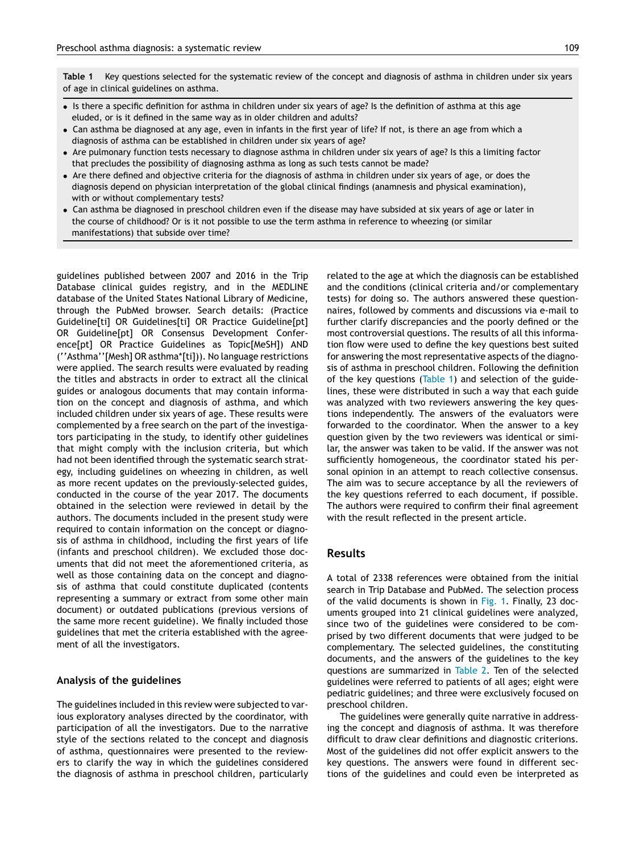<span id="page-2-0"></span>**Table 1** Key questions selected for the systematic review of the concept and diagnosis of asthma in children under six years of age in clinical guidelines on asthma.

- Is there a specific definition for asthma in children under six years of age? Is the definition of asthma at this age eluded, or is it defined in the same way as in older children and adults?
- Can asthma be diagnosed at any age, even in infants in the first year of life? If not, is there an age from which a diagnosis of asthma can be established in children under six years of age?
- Are pulmonary function tests necessary to diagnose asthma in children under six years of age? Is this a limiting factor that precludes the possibility of diagnosing asthma as long as such tests cannot be made?
- Are there defined and objective criteria for the diagnosis of asthma in children under six years of age, or does the diagnosis depend on physician interpretation of the global clinical findings (anamnesis and physical examination), with or without complementary tests?
- Can asthma be diagnosed in preschool children even if the disease may have subsided at six years of age or later in the course of childhood? Or is it not possible to use the term asthma in reference to wheezing (or similar manifestations) that subside over time?

guidelines published between 2007 and 2016 in the Trip Database clinical guides registry, and in the MEDLINE database of the United States National Library of Medicine, through the PubMed browser. Search details: (Practice Guideline[ti] OR Guidelines[ti] OR Practice Guideline[pt] OR Guideline[pt] OR Consensus Development Conference[pt] OR Practice Guidelines as Topic[MeSH]) AND (''Asthma''[Mesh] OR asthma\*[ti])). No language restrictions were applied. The search results were evaluated by reading the titles and abstracts in order to extract all the clinical guides or analogous documents that may contain information on the concept and diagnosis of asthma, and which included children under six years of age. These results were complemented by a free search on the part of the investigators participating in the study, to identify other guidelines that might comply with the inclusion criteria, but which had not been identified through the systematic search strategy, including guidelines on wheezing in children, as well as more recent updates on the previously-selected guides, conducted in the course of the year 2017. The documents obtained in the selection were reviewed in detail by the authors. The documents included in the present study were required to contain information on the concept or diagnosis of asthma in childhood, including the first years of life (infants and preschool children). We excluded those documents that did not meet the aforementioned criteria, as well as those containing data on the concept and diagnosis of asthma that could constitute duplicated (contents representing a summary or extract from some other main document) or outdated publications (previous versions of the same more recent guideline). We finally included those guidelines that met the criteria established with the agreement of all the investigators.

#### **Analysis of the guidelines**

The guidelines included in this review were subjected to various exploratory analyses directed by the coordinator, with participation of all the investigators. Due to the narrative style of the sections related to the concept and diagnosis of asthma, questionnaires were presented to the reviewers to clarify the way in which the guidelines considered the diagnosis of asthma in preschool children, particularly

related to the age at which the diagnosis can be established and the conditions (clinical criteria and/or complementary tests) for doing so. The authors answered these questionnaires, followed by comments and discussions via e-mail to further clarify discrepancies and the poorly defined or the most controversial questions. The results of all this information flow were used to define the key questions best suited for answering the most representative aspects of the diagnosis of asthma in preschool children. Following the definition of the key questions (Table 1) and selection of the guidelines, these were distributed in such a way that each guide was analyzed with two reviewers answering the key questions independently. The answers of the evaluators were forwarded to the coordinator. When the answer to a key question given by the two reviewers was identical or similar, the answer was taken to be valid. If the answer was not sufficiently homogeneous, the coordinator stated his personal opinion in an attempt to reach collective consensus. The aim was to secure acceptance by all the reviewers of the key questions referred to each document, if possible. The authors were required to confirm their final agreement with the result reflected in the present article.

# **Results**

A total of 2338 references were obtained from the initial search in Trip Database and PubMed. The selection process of the valid documents is shown in [Fig.](#page-3-0) 1. Finally, 23 documents grouped into 21 clinical guidelines were analyzed, since two of the guidelines were considered to be comprised by two different documents that were judged to be complementary. The selected guidelines, the constituting documents, and the answers of the guidelines to the key questions are summarized in [Table](#page-4-0) 2. Ten of the selected guidelines were referred to patients of all ages; eight were pediatric guidelines; and three were exclusively focused on preschool children.

The guidelines were generally quite narrative in addressing the concept and diagnosis of asthma. It was therefore difficult to draw clear definitions and diagnostic criterions. Most of the guidelines did not offer explicit answers to the key questions. The answers were found in different sections of the guidelines and could even be interpreted as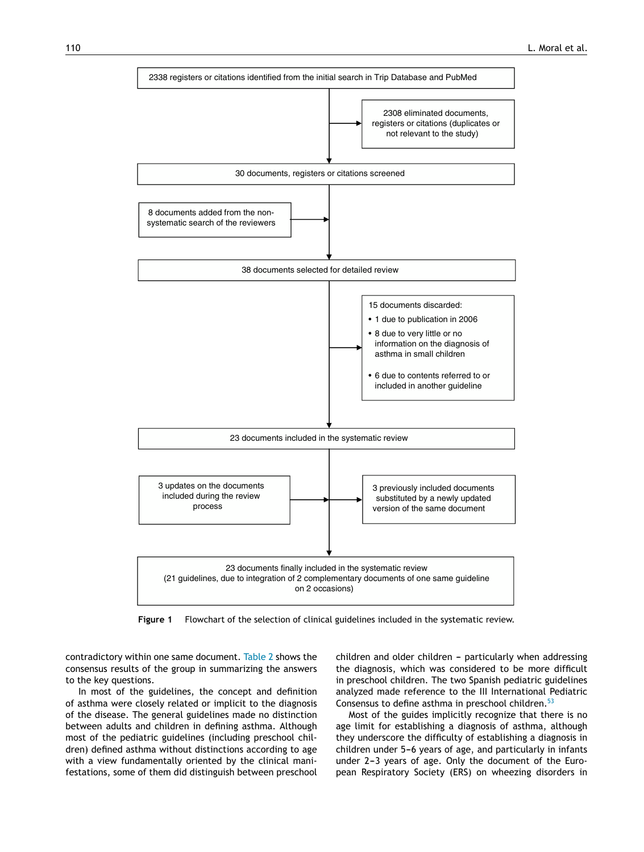<span id="page-3-0"></span>

**Figure 1** Flowchart of the selection of clinical guidelines included in the systematic review.

contradictory within one same document. [Table](#page-4-0) 2 shows the consensus results of the group in summarizing the answers to the key questions.

In most of the guidelines, the concept and definition of asthma were closely related or implicit to the diagnosis of the disease. The general guidelines made no distinction between adults and children in defining asthma. Although most of the pediatric guidelines (including preschool children) defined asthma without distinctions according to age with a view fundamentally oriented by the clinical manifestations, some of them did distinguish between preschool children and older children  $-$  particularly when addressing the diagnosis, which was considered to be more difficult in preschool children. The two Spanish pediatric guidelines analyzed made reference to the III International Pediatric Consensus to define asthma in preschool children.<sup>[53](#page-14-0)</sup>

Most of the guides implicitly recognize that there is no age limit for establishing a diagnosis of asthma, although they underscore the difficulty of establishing a diagnosis in children under 5-6 years of age, and particularly in infants under 2-3 years of age. Only the document of the European Respiratory Society (ERS) on wheezing disorders in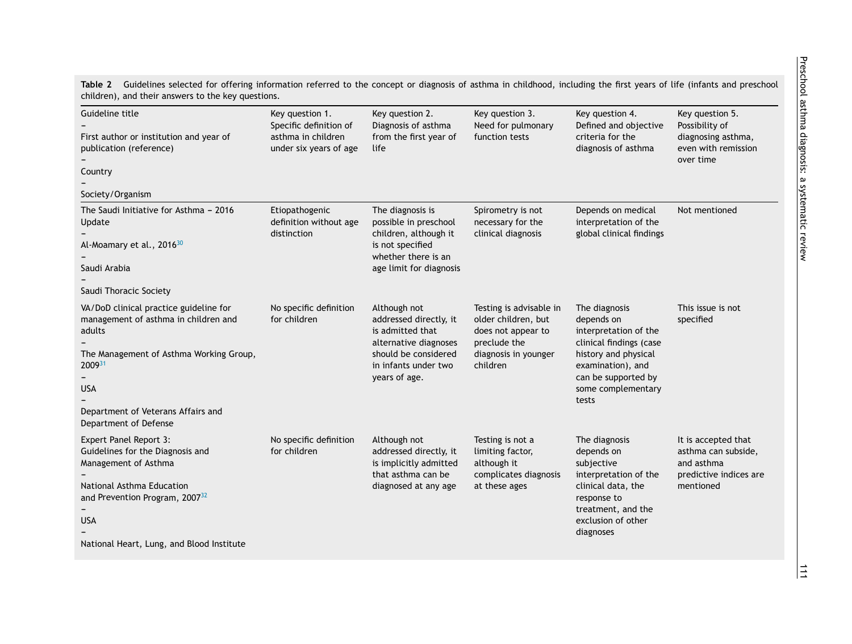<span id="page-4-0"></span>**Table 2** Guidelines selected for offering information referred to the concept or diagnosis of asthma in childhood, including the first years of life (infants and preschool children), and their answers to the key questions.

| Guideline title<br>First author or institution and year of<br>publication (reference)<br>Country                                                                                                                         | Key question 1.<br>Specific definition of<br>asthma in children<br>under six years of age | Key question 2.<br>Diagnosis of asthma<br>from the first year of<br>life                                                                             | Key question 3.<br>Need for pulmonary<br>function tests                                                                  | Key question 4.<br>Defined and objective<br>criteria for the<br>diagnosis of asthma                                                                                                | Key question 5.<br>Possibility of<br>diagnosing asthma,<br>even with remission<br>over time     |
|--------------------------------------------------------------------------------------------------------------------------------------------------------------------------------------------------------------------------|-------------------------------------------------------------------------------------------|------------------------------------------------------------------------------------------------------------------------------------------------------|--------------------------------------------------------------------------------------------------------------------------|------------------------------------------------------------------------------------------------------------------------------------------------------------------------------------|-------------------------------------------------------------------------------------------------|
| Society/Organism                                                                                                                                                                                                         |                                                                                           |                                                                                                                                                      |                                                                                                                          |                                                                                                                                                                                    |                                                                                                 |
| The Saudi Initiative for Asthma - 2016<br>Update<br>Al-Moamary et al., 2016 <sup>30</sup><br>Saudi Arabia                                                                                                                | Etiopathogenic<br>definition without age<br>distinction                                   | The diagnosis is<br>possible in preschool<br>children, although it<br>is not specified<br>whether there is an<br>age limit for diagnosis             | Spirometry is not<br>necessary for the<br>clinical diagnosis                                                             | Depends on medical<br>interpretation of the<br>global clinical findings                                                                                                            | Not mentioned                                                                                   |
| Saudi Thoracic Society                                                                                                                                                                                                   |                                                                                           |                                                                                                                                                      |                                                                                                                          |                                                                                                                                                                                    |                                                                                                 |
| VA/DoD clinical practice guideline for<br>management of asthma in children and<br>adults<br>The Management of Asthma Working Group,<br>200931<br><b>USA</b><br>Department of Veterans Affairs and                        | No specific definition<br>for children                                                    | Although not<br>addressed directly, it<br>is admitted that<br>alternative diagnoses<br>should be considered<br>in infants under two<br>years of age. | Testing is advisable in<br>older children, but<br>does not appear to<br>preclude the<br>diagnosis in younger<br>children | The diagnosis<br>depends on<br>interpretation of the<br>clinical findings (case<br>history and physical<br>examination), and<br>can be supported by<br>some complementary<br>tests | This issue is not<br>specified                                                                  |
| Department of Defense                                                                                                                                                                                                    |                                                                                           |                                                                                                                                                      |                                                                                                                          |                                                                                                                                                                                    |                                                                                                 |
| Expert Panel Report 3:<br>Guidelines for the Diagnosis and<br>Management of Asthma<br>National Asthma Education<br>and Prevention Program, 2007 <sup>32</sup><br><b>USA</b><br>National Heart, Lung, and Blood Institute | No specific definition<br>for children                                                    | Although not<br>addressed directly, it<br>is implicitly admitted<br>that asthma can be<br>diagnosed at any age                                       | Testing is not a<br>limiting factor,<br>although it<br>complicates diagnosis<br>at these ages                            | The diagnosis<br>depends on<br>subjective<br>interpretation of the<br>clinical data, the<br>response to<br>treatment, and the<br>exclusion of other<br>diagnoses                   | It is accepted that<br>asthma can subside,<br>and asthma<br>predictive indices are<br>mentioned |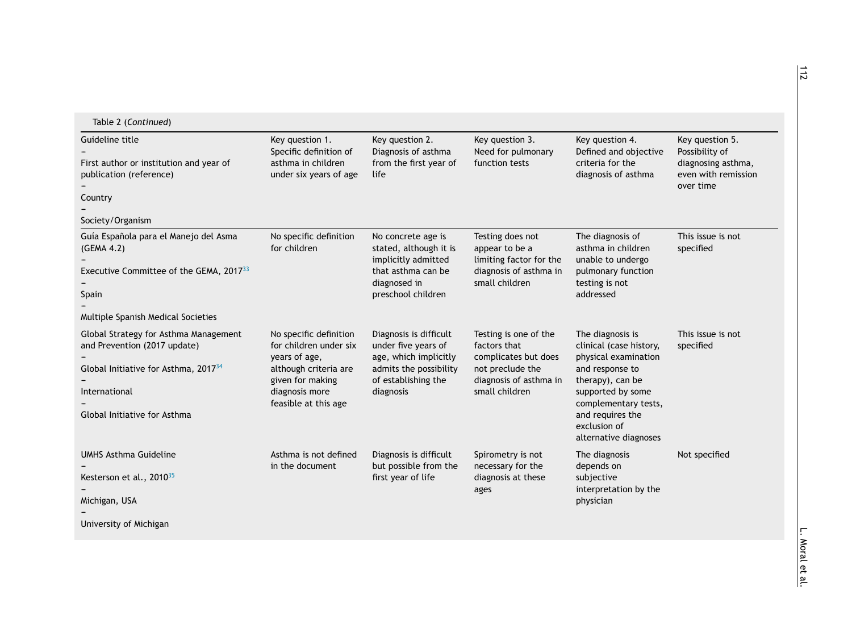| Table 2 (Continued)                                                                                                                                                        |                                                                                                                                                          |                                                                                                                                      |                                                                                                                               |                                                                                                                                                                                                                      |                                                                                             |
|----------------------------------------------------------------------------------------------------------------------------------------------------------------------------|----------------------------------------------------------------------------------------------------------------------------------------------------------|--------------------------------------------------------------------------------------------------------------------------------------|-------------------------------------------------------------------------------------------------------------------------------|----------------------------------------------------------------------------------------------------------------------------------------------------------------------------------------------------------------------|---------------------------------------------------------------------------------------------|
| Guideline title<br>First author or institution and year of<br>publication (reference)<br>Country<br>Society/Organism                                                       | Key question 1.<br>Specific definition of<br>asthma in children<br>under six years of age                                                                | Key question 2.<br>Diagnosis of asthma<br>from the first year of<br>life                                                             | Key question 3.<br>Need for pulmonary<br>function tests                                                                       | Key question 4.<br>Defined and objective<br>criteria for the<br>diagnosis of asthma                                                                                                                                  | Key question 5.<br>Possibility of<br>diagnosing asthma,<br>even with remission<br>over time |
| Guía Española para el Manejo del Asma<br>(GEMA 4.2)<br>Executive Committee of the GEMA, 201733<br>Spain<br>Multiple Spanish Medical Societies                              | No specific definition<br>for children                                                                                                                   | No concrete age is<br>stated, although it is<br>implicitly admitted<br>that asthma can be<br>diagnosed in<br>preschool children      | Testing does not<br>appear to be a<br>limiting factor for the<br>diagnosis of asthma in<br>small children                     | The diagnosis of<br>asthma in children<br>unable to undergo<br>pulmonary function<br>testing is not<br>addressed                                                                                                     | This issue is not<br>specified                                                              |
| Global Strategy for Asthma Management<br>and Prevention (2017 update)<br>Global Initiative for Asthma, 2017 <sup>34</sup><br>International<br>Global Initiative for Asthma | No specific definition<br>for children under six<br>years of age,<br>although criteria are<br>given for making<br>diagnosis more<br>feasible at this age | Diagnosis is difficult<br>under five years of<br>age, which implicitly<br>admits the possibility<br>of establishing the<br>diagnosis | Testing is one of the<br>factors that<br>complicates but does<br>not preclude the<br>diagnosis of asthma in<br>small children | The diagnosis is<br>clinical (case history,<br>physical examination<br>and response to<br>therapy), can be<br>supported by some<br>complementary tests,<br>and requires the<br>exclusion of<br>alternative diagnoses | This issue is not<br>specified                                                              |
| <b>UMHS Asthma Guideline</b><br>Kesterson et al., $2010^{35}$<br>Michigan, USA<br>University of Michigan                                                                   | Asthma is not defined<br>in the document                                                                                                                 | Diagnosis is difficult<br>but possible from the<br>first year of life                                                                | Spirometry is not<br>necessary for the<br>diagnosis at these<br>ages                                                          | The diagnosis<br>depends on<br>subjective<br>interpretation by the<br>physician                                                                                                                                      | Not specified                                                                               |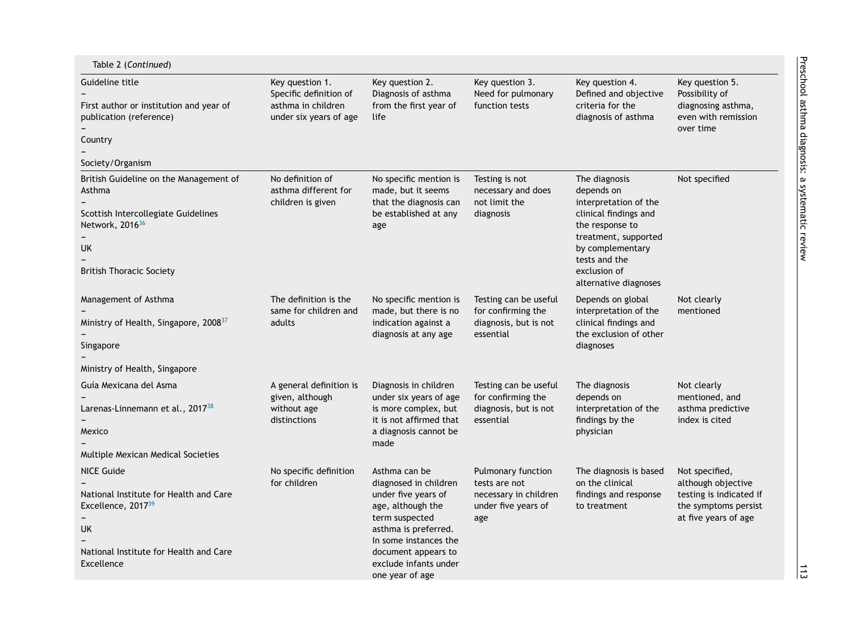| Table 2 (Continued)                                                                                                                                             |                                                                                           |                                                                                                                                                                                                                          |                                                                                            |                                                                                                                                                                                                        |                                                                                                                 |
|-----------------------------------------------------------------------------------------------------------------------------------------------------------------|-------------------------------------------------------------------------------------------|--------------------------------------------------------------------------------------------------------------------------------------------------------------------------------------------------------------------------|--------------------------------------------------------------------------------------------|--------------------------------------------------------------------------------------------------------------------------------------------------------------------------------------------------------|-----------------------------------------------------------------------------------------------------------------|
| Guideline title<br>First author or institution and year of<br>publication (reference)<br>Country                                                                | Key question 1.<br>Specific definition of<br>asthma in children<br>under six years of age | Key question 2.<br>Diagnosis of asthma<br>from the first year of<br>life                                                                                                                                                 | Key question 3.<br>Need for pulmonary<br>function tests                                    | Key question 4.<br>Defined and objective<br>criteria for the<br>diagnosis of asthma                                                                                                                    | Key question 5.<br>Possibility of<br>diagnosing asthma,<br>even with remission<br>over time                     |
| Society/Organism                                                                                                                                                |                                                                                           |                                                                                                                                                                                                                          |                                                                                            |                                                                                                                                                                                                        |                                                                                                                 |
| British Guideline on the Management of<br>Asthma<br>Scottish Intercollegiate Guidelines<br>Network, 2016 <sup>36</sup><br>UK<br><b>British Thoracic Society</b> | No definition of<br>asthma different for<br>children is given                             | No specific mention is<br>made, but it seems<br>that the diagnosis can<br>be established at any<br>age                                                                                                                   | Testing is not<br>necessary and does<br>not limit the<br>diagnosis                         | The diagnosis<br>depends on<br>interpretation of the<br>clinical findings and<br>the response to<br>treatment, supported<br>by complementary<br>tests and the<br>exclusion of<br>alternative diagnoses | Not specified                                                                                                   |
| Management of Asthma<br>Ministry of Health, Singapore, 2008 <sup>37</sup><br>Singapore<br>Ministry of Health, Singapore                                         | The definition is the<br>same for children and<br>adults                                  | No specific mention is<br>made, but there is no<br>indication against a<br>diagnosis at any age                                                                                                                          | Testing can be useful<br>for confirming the<br>diagnosis, but is not<br>essential          | Depends on global<br>interpretation of the<br>clinical findings and<br>the exclusion of other<br>diagnoses                                                                                             | Not clearly<br>mentioned                                                                                        |
| Guía Mexicana del Asma<br>Larenas-Linnemann et al., 2017 <sup>38</sup><br>Mexico<br>Multiple Mexican Medical Societies                                          | A general definition is<br>given, although<br>without age<br>distinctions                 | Diagnosis in children<br>under six years of age<br>is more complex, but<br>it is not affirmed that<br>a diagnosis cannot be<br>made                                                                                      | Testing can be useful<br>for confirming the<br>diagnosis, but is not<br>essential          | The diagnosis<br>depends on<br>interpretation of the<br>findings by the<br>physician                                                                                                                   | Not clearly<br>mentioned, and<br>asthma predictive<br>index is cited                                            |
| <b>NICE Guide</b><br>National Institute for Health and Care<br>Excellence, 2017 <sup>39</sup><br>UK<br>National Institute for Health and Care<br>Excellence     | No specific definition<br>for children                                                    | Asthma can be<br>diagnosed in children<br>under five years of<br>age, although the<br>term suspected<br>asthma is preferred.<br>In some instances the<br>document appears to<br>exclude infants under<br>one year of age | Pulmonary function<br>tests are not<br>necessary in children<br>under five years of<br>age | The diagnosis is based<br>on the clinical<br>findings and response<br>to treatment                                                                                                                     | Not specified,<br>although objective<br>testing is indicated if<br>the symptoms persist<br>at five years of age |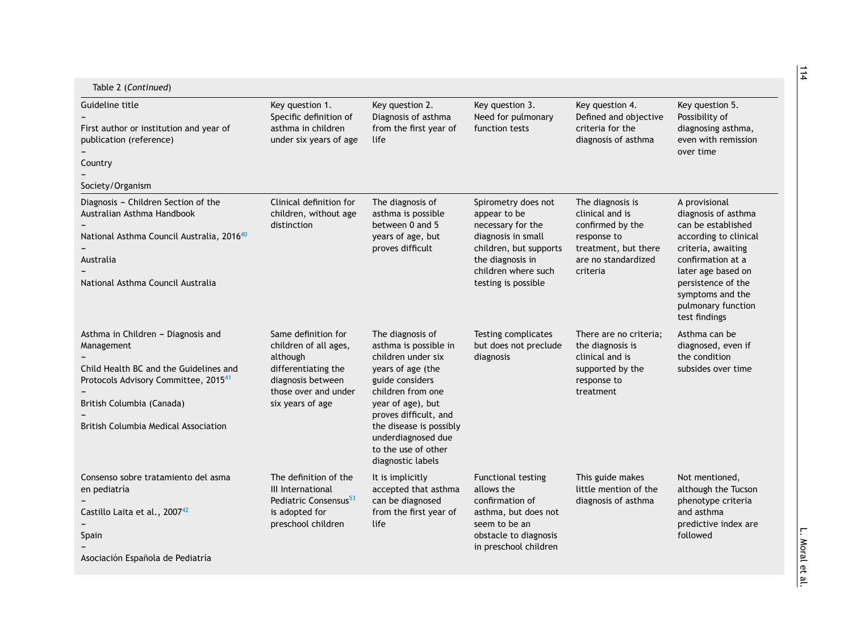| Table 2 (Continued)                                                                                                                                                                                                 |                                                                                                                                                  |                                                                                                                                                                                                                                                                         |                                                                                                                                                                            |                                                                                                                                   |                                                                                                                                                                                                                                       |
|---------------------------------------------------------------------------------------------------------------------------------------------------------------------------------------------------------------------|--------------------------------------------------------------------------------------------------------------------------------------------------|-------------------------------------------------------------------------------------------------------------------------------------------------------------------------------------------------------------------------------------------------------------------------|----------------------------------------------------------------------------------------------------------------------------------------------------------------------------|-----------------------------------------------------------------------------------------------------------------------------------|---------------------------------------------------------------------------------------------------------------------------------------------------------------------------------------------------------------------------------------|
| Guideline title<br>First author or institution and year of<br>publication (reference)                                                                                                                               | Key question 1.<br>Specific definition of<br>asthma in children<br>under six years of age                                                        | Key question 2.<br>Diagnosis of asthma<br>from the first year of<br>life                                                                                                                                                                                                | Key question 3.<br>Need for pulmonary<br>function tests                                                                                                                    | Key question 4.<br>Defined and objective<br>criteria for the<br>diagnosis of asthma                                               | Key question 5.<br>Possibility of<br>diagnosing asthma,<br>even with remission<br>over time                                                                                                                                           |
| Country                                                                                                                                                                                                             |                                                                                                                                                  |                                                                                                                                                                                                                                                                         |                                                                                                                                                                            |                                                                                                                                   |                                                                                                                                                                                                                                       |
| Society/Organism                                                                                                                                                                                                    |                                                                                                                                                  |                                                                                                                                                                                                                                                                         |                                                                                                                                                                            |                                                                                                                                   |                                                                                                                                                                                                                                       |
| Diagnosis - Children Section of the<br>Australian Asthma Handbook<br>National Asthma Council Australia, 2016 <sup>40</sup><br>Australia<br>National Asthma Council Australia                                        | Clinical definition for<br>children, without age<br>distinction                                                                                  | The diagnosis of<br>asthma is possible<br>between 0 and 5<br>years of age, but<br>proves difficult                                                                                                                                                                      | Spirometry does not<br>appear to be<br>necessary for the<br>diagnosis in small<br>children, but supports<br>the diagnosis in<br>children where such<br>testing is possible | The diagnosis is<br>clinical and is<br>confirmed by the<br>response to<br>treatment, but there<br>are no standardized<br>criteria | A provisional<br>diagnosis of asthma<br>can be established<br>according to clinical<br>criteria, awaiting<br>confirmation at a<br>later age based on<br>persistence of the<br>symptoms and the<br>pulmonary function<br>test findings |
| Asthma in Children - Diagnosis and<br>Management<br>Child Health BC and the Guidelines and<br>Protocols Advisory Committee, 2015 <sup>41</sup><br>British Columbia (Canada)<br>British Columbia Medical Association | Same definition for<br>children of all ages,<br>although<br>differentiating the<br>diagnosis between<br>those over and under<br>six years of age | The diagnosis of<br>asthma is possible in<br>children under six<br>years of age (the<br>guide considers<br>children from one<br>year of age), but<br>proves difficult, and<br>the disease is possibly<br>underdiagnosed due<br>to the use of other<br>diagnostic labels | Testing complicates<br>but does not preclude<br>diagnosis                                                                                                                  | There are no criteria;<br>the diagnosis is<br>clinical and is<br>supported by the<br>response to<br>treatment                     | Asthma can be<br>diagnosed, even if<br>the condition<br>subsides over time                                                                                                                                                            |
| Consenso sobre tratamiento del asma<br>en pediatría<br>Castillo Laita et al., 2007 <sup>42</sup><br>Spain<br>Asociación Española de Pediatría                                                                       | The definition of the<br>III International<br>Pediatric Consensus <sup>53</sup><br>is adopted for<br>preschool children                          | It is implicitly<br>accepted that asthma<br>can be diagnosed<br>from the first year of<br>life                                                                                                                                                                          | Functional testing<br>allows the<br>confirmation of<br>asthma, but does not<br>seem to be an<br>obstacle to diagnosis<br>in preschool children                             | This guide makes<br>little mention of the<br>diagnosis of asthma                                                                  | Not mentioned,<br>although the Tucson<br>phenotype criteria<br>and asthma<br>predictive index are<br>followed                                                                                                                         |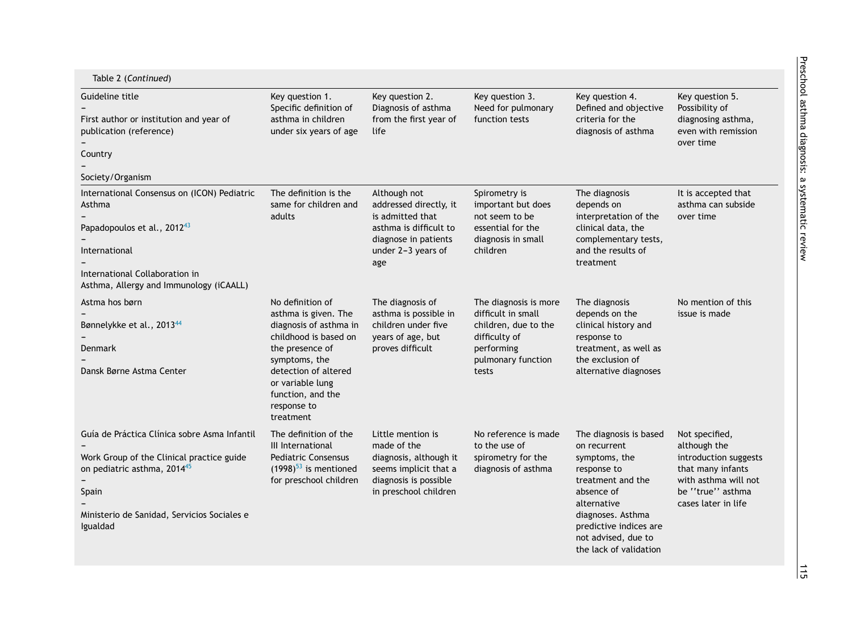| ירורחופחות מווווחרת וחרי יה<br>ı<br>1 |
|---------------------------------------|
| מי הוא הווחיור ורגור<br>J<br>5        |
| ;<br>;<br>;<br>;<br>ı                 |

| Table 2 (Continued)                                                                                                                                                                          |                                                                                                                                                                                                                              |                                                                                                                                           |                                                                                                                                   |                                                                                                                                                                                                                          |                                                                                                                                                 |
|----------------------------------------------------------------------------------------------------------------------------------------------------------------------------------------------|------------------------------------------------------------------------------------------------------------------------------------------------------------------------------------------------------------------------------|-------------------------------------------------------------------------------------------------------------------------------------------|-----------------------------------------------------------------------------------------------------------------------------------|--------------------------------------------------------------------------------------------------------------------------------------------------------------------------------------------------------------------------|-------------------------------------------------------------------------------------------------------------------------------------------------|
| Guideline title<br>First author or institution and year of<br>publication (reference)                                                                                                        | Key question 1.<br>Specific definition of<br>asthma in children<br>under six years of age                                                                                                                                    | Key question 2.<br>Diagnosis of asthma<br>from the first year of<br>life                                                                  | Key question 3.<br>Need for pulmonary<br>function tests                                                                           | Key question 4.<br>Defined and objective<br>criteria for the<br>diagnosis of asthma                                                                                                                                      | Key question 5.<br>Possibility of<br>diagnosing asthma,<br>even with remission<br>over time                                                     |
| Country                                                                                                                                                                                      |                                                                                                                                                                                                                              |                                                                                                                                           |                                                                                                                                   |                                                                                                                                                                                                                          |                                                                                                                                                 |
| Society/Organism                                                                                                                                                                             |                                                                                                                                                                                                                              |                                                                                                                                           |                                                                                                                                   |                                                                                                                                                                                                                          |                                                                                                                                                 |
| International Consensus on (ICON) Pediatric<br>Asthma<br>Papadopoulos et al., 2012 <sup>43</sup><br>International<br>International Collaboration in                                          | The definition is the<br>same for children and<br>adults                                                                                                                                                                     | Although not<br>addressed directly, it<br>is admitted that<br>asthma is difficult to<br>diagnose in patients<br>under 2-3 years of<br>age | Spirometry is<br>important but does<br>not seem to be<br>essential for the<br>diagnosis in small<br>children                      | The diagnosis<br>depends on<br>interpretation of the<br>clinical data, the<br>complementary tests,<br>and the results of<br>treatment                                                                                    | It is accepted that<br>asthma can subside<br>over time                                                                                          |
| Asthma, Allergy and Immunology (iCAALL)                                                                                                                                                      |                                                                                                                                                                                                                              |                                                                                                                                           |                                                                                                                                   |                                                                                                                                                                                                                          |                                                                                                                                                 |
| Astma hos børn<br>Bønnelykke et al., 201344<br>Denmark<br>Dansk Børne Astma Center                                                                                                           | No definition of<br>asthma is given. The<br>diagnosis of asthma in<br>childhood is based on<br>the presence of<br>symptoms, the<br>detection of altered<br>or variable lung<br>function, and the<br>response to<br>treatment | The diagnosis of<br>asthma is possible in<br>children under five<br>years of age, but<br>proves difficult                                 | The diagnosis is more<br>difficult in small<br>children, due to the<br>difficulty of<br>performing<br>pulmonary function<br>tests | The diagnosis<br>depends on the<br>clinical history and<br>response to<br>treatment, as well as<br>the exclusion of<br>alternative diagnoses                                                                             | No mention of this<br>issue is made                                                                                                             |
| Guía de Práctica Clínica sobre Asma Infantil<br>Work Group of the Clinical practice guide<br>on pediatric asthma, 201445<br>Spain<br>Ministerio de Sanidad, Servicios Sociales e<br>Igualdad | The definition of the<br>III International<br><b>Pediatric Consensus</b><br>$(1998)^{53}$ is mentioned<br>for preschool children                                                                                             | Little mention is<br>made of the<br>diagnosis, although it<br>seems implicit that a<br>diagnosis is possible<br>in preschool children     | No reference is made<br>to the use of<br>spirometry for the<br>diagnosis of asthma                                                | The diagnosis is based<br>on recurrent<br>symptoms, the<br>response to<br>treatment and the<br>absence of<br>alternative<br>diagnoses. Asthma<br>predictive indices are<br>not advised, due to<br>the lack of validation | Not specified,<br>although the<br>introduction suggests<br>that many infants<br>with asthma will not<br>be "true" asthma<br>cases later in life |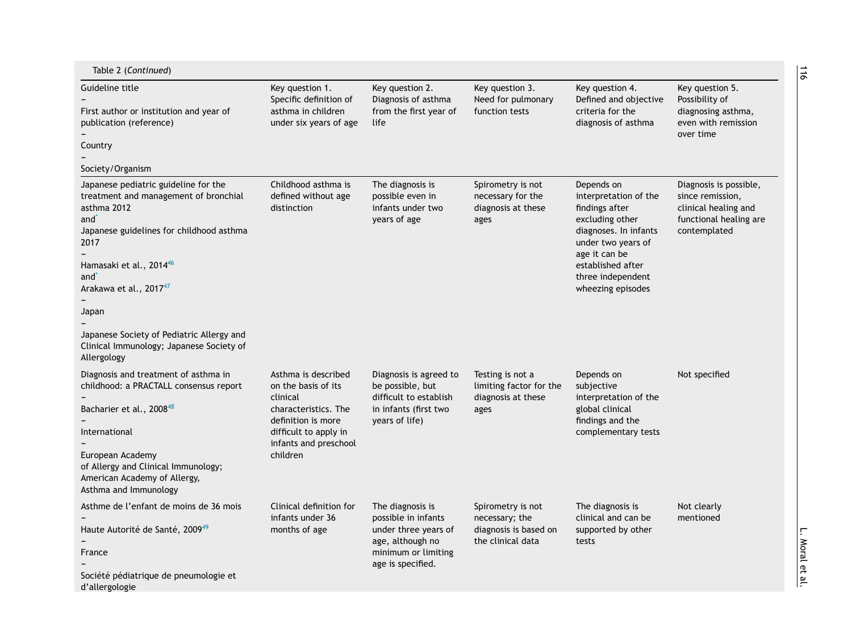| Table 2 (Continued)                                                                                                                                                                                                                                         |                                                                                                                                                                    |                                                                                                                                 |                                                                                   |                                                                                                                                                                                                         |                                                                                                              |
|-------------------------------------------------------------------------------------------------------------------------------------------------------------------------------------------------------------------------------------------------------------|--------------------------------------------------------------------------------------------------------------------------------------------------------------------|---------------------------------------------------------------------------------------------------------------------------------|-----------------------------------------------------------------------------------|---------------------------------------------------------------------------------------------------------------------------------------------------------------------------------------------------------|--------------------------------------------------------------------------------------------------------------|
| Guideline title<br>First author or institution and year of<br>publication (reference)<br>Country                                                                                                                                                            | Key question 1.<br>Specific definition of<br>asthma in children<br>under six years of age                                                                          | Key question 2.<br>Diagnosis of asthma<br>from the first year of<br>life                                                        | Key question 3.<br>Need for pulmonary<br>function tests                           | Key question 4.<br>Defined and objective<br>criteria for the<br>diagnosis of asthma                                                                                                                     | Key question 5.<br>Possibility of<br>diagnosing asthma,<br>even with remission<br>over time                  |
| Society/Organism                                                                                                                                                                                                                                            |                                                                                                                                                                    |                                                                                                                                 |                                                                                   |                                                                                                                                                                                                         |                                                                                                              |
| Japanese pediatric guideline for the<br>treatment and management of bronchial<br>asthma 2012<br>and<br>Japanese guidelines for childhood asthma<br>2017<br>Hamasaki et al., 2014 <sup>46</sup><br>and<br>Arakawa et al., 2017 <sup>47</sup>                 | Childhood asthma is<br>defined without age<br>distinction                                                                                                          | The diagnosis is<br>possible even in<br>infants under two<br>years of age                                                       | Spirometry is not<br>necessary for the<br>diagnosis at these<br>ages              | Depends on<br>interpretation of the<br>findings after<br>excluding other<br>diagnoses. In infants<br>under two years of<br>age it can be<br>established after<br>three independent<br>wheezing episodes | Diagnosis is possible,<br>since remission,<br>clinical healing and<br>functional healing are<br>contemplated |
| Japan                                                                                                                                                                                                                                                       |                                                                                                                                                                    |                                                                                                                                 |                                                                                   |                                                                                                                                                                                                         |                                                                                                              |
| Japanese Society of Pediatric Allergy and<br>Clinical Immunology; Japanese Society of<br>Allergology                                                                                                                                                        |                                                                                                                                                                    |                                                                                                                                 |                                                                                   |                                                                                                                                                                                                         |                                                                                                              |
| Diagnosis and treatment of asthma in<br>childhood: a PRACTALL consensus report<br>Bacharier et al., 2008 <sup>48</sup><br>International<br>European Academy<br>of Allergy and Clinical Immunology;<br>American Academy of Allergy,<br>Asthma and Immunology | Asthma is described<br>on the basis of its<br>clinical<br>characteristics. The<br>definition is more<br>difficult to apply in<br>infants and preschool<br>children | Diagnosis is agreed to<br>be possible, but<br>difficult to establish<br>in infants (first two<br>years of life)                 | Testing is not a<br>limiting factor for the<br>diagnosis at these<br>ages         | Depends on<br>subjective<br>interpretation of the<br>global clinical<br>findings and the<br>complementary tests                                                                                         | Not specified                                                                                                |
| Asthme de l'enfant de moins de 36 mois<br>Haute Autorité de Santé, 200949<br>France<br>Société pédiatrique de pneumologie et<br>d'allergologie                                                                                                              | Clinical definition for<br>infants under 36<br>months of age                                                                                                       | The diagnosis is<br>possible in infants<br>under three years of<br>age, although no<br>minimum or limiting<br>age is specified. | Spirometry is not<br>necessary; the<br>diagnosis is based on<br>the clinical data | The diagnosis is<br>clinical and can be<br>supported by other<br>tests                                                                                                                                  | Not clearly<br>mentioned                                                                                     |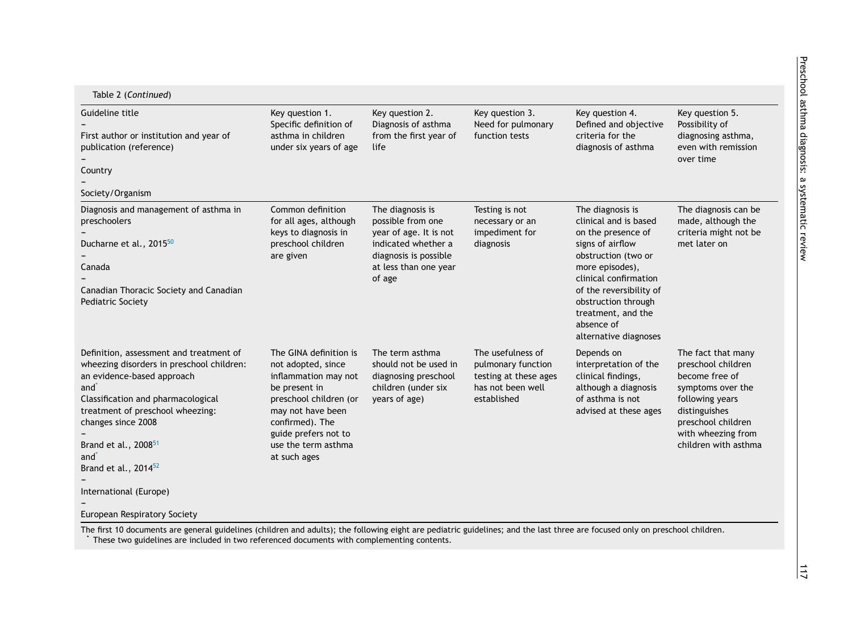| 5.                         |  |
|----------------------------|--|
| thma,<br>nission           |  |
| can be<br>gh the<br>not be |  |

Preschool

asthma

diagnosis:

a

systematic

review

<span id="page-10-0"></span>

| Table 2 (Continued)                                                                                                                                                                                                                                                                                                                |                                                                                                                                                                                                                        |                                                                                                                                                    |                                                                                                      |                                                                                                                                                                                                                                                                       |                                                                                                                                                                                         |
|------------------------------------------------------------------------------------------------------------------------------------------------------------------------------------------------------------------------------------------------------------------------------------------------------------------------------------|------------------------------------------------------------------------------------------------------------------------------------------------------------------------------------------------------------------------|----------------------------------------------------------------------------------------------------------------------------------------------------|------------------------------------------------------------------------------------------------------|-----------------------------------------------------------------------------------------------------------------------------------------------------------------------------------------------------------------------------------------------------------------------|-----------------------------------------------------------------------------------------------------------------------------------------------------------------------------------------|
| Guideline title<br>First author or institution and year of<br>publication (reference)<br>Country                                                                                                                                                                                                                                   | Key question 1.<br>Specific definition of<br>asthma in children<br>under six years of age                                                                                                                              | Key question 2.<br>Diagnosis of asthma<br>from the first year of<br>life                                                                           | Key question 3.<br>Need for pulmonary<br>function tests                                              | Key question 4.<br>Defined and objective<br>criteria for the<br>diagnosis of asthma                                                                                                                                                                                   | Key question 5.<br>Possibility of<br>diagnosing asthma,<br>even with remission<br>over time                                                                                             |
| Society/Organism                                                                                                                                                                                                                                                                                                                   |                                                                                                                                                                                                                        |                                                                                                                                                    |                                                                                                      |                                                                                                                                                                                                                                                                       |                                                                                                                                                                                         |
| Diagnosis and management of asthma in<br>preschoolers<br>Ducharne et al., 2015 <sup>50</sup><br>Canada<br>Canadian Thoracic Society and Canadian<br>Pediatric Society                                                                                                                                                              | Common definition<br>for all ages, although<br>keys to diagnosis in<br>preschool children<br>are given                                                                                                                 | The diagnosis is<br>possible from one<br>year of age. It is not<br>indicated whether a<br>diagnosis is possible<br>at less than one year<br>of age | Testing is not<br>necessary or an<br>impediment for<br>diagnosis                                     | The diagnosis is<br>clinical and is based<br>on the presence of<br>signs of airflow<br>obstruction (two or<br>more episodes),<br>clinical confirmation<br>of the reversibility of<br>obstruction through<br>treatment, and the<br>absence of<br>alternative diagnoses | The diagnosis can be<br>made, although the<br>criteria might not be<br>met later on                                                                                                     |
| Definition, assessment and treatment of<br>wheezing disorders in preschool children:<br>an evidence-based approach<br>and<br>Classification and pharmacological<br>treatment of preschool wheezing:<br>changes since 2008<br>Brand et al., 2008 <sup>51</sup><br>and<br>Brand et al., 2014 <sup>52</sup><br>International (Europe) | The GINA definition is<br>not adopted, since<br>inflammation may not<br>be present in<br>preschool children (or<br>may not have been<br>confirmed). The<br>guide prefers not to<br>use the term asthma<br>at such ages | The term asthma<br>should not be used in<br>diagnosing preschool<br>children (under six<br>years of age)                                           | The usefulness of<br>pulmonary function<br>testing at these ages<br>has not been well<br>established | Depends on<br>interpretation of the<br>clinical findings,<br>although a diagnosis<br>of asthma is not<br>advised at these ages                                                                                                                                        | The fact that many<br>preschool children<br>become free of<br>symptoms over the<br>following years<br>distinguishes<br>preschool children<br>with wheezing from<br>children with asthma |
| European Respiratory Society                                                                                                                                                                                                                                                                                                       |                                                                                                                                                                                                                        |                                                                                                                                                    |                                                                                                      |                                                                                                                                                                                                                                                                       |                                                                                                                                                                                         |

The first 10 documents are general guidelines (children and adults); the following eight are pediatric guidelines; and the last three are focused only on preschool children. \* These two guidelines are included in two referenced documents with complementing contents.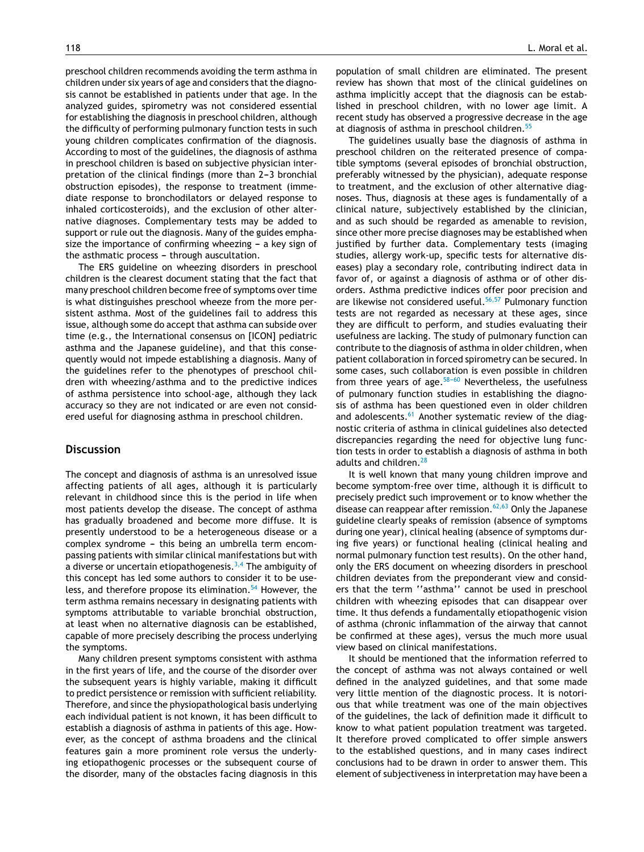preschool children recommends avoiding the term asthma in children under six years of age and considers that the diagnosis cannot be established in patients under that age. In the analyzed guides, spirometry was not considered essential for establishing the diagnosis in preschool children, although the difficulty of performing pulmonary function tests in such young children complicates confirmation of the diagnosis. According to most of the guidelines, the diagnosis of asthma in preschool children is based on subjective physician interpretation of the clinical findings (more than 2-3 bronchial obstruction episodes), the response to treatment (immediate response to bronchodilators or delayed response to inhaled corticosteroids), and the exclusion of other alternative diagnoses. Complementary tests may be added to support or rule out the diagnosis. Many of the guides emphasize the importance of confirming wheezing  $-$  a key sign of the asthmatic process  $-$  through auscultation.

The ERS guideline on wheezing disorders in preschool children is the clearest document stating that the fact that many preschool children become free of symptoms over time is what distinguishes preschool wheeze from the more persistent asthma. Most of the guidelines fail to address this issue, although some do accept that asthma can subside over time (e.g., the International consensus on [ICON] pediatric asthma and the Japanese guideline), and that this consequently would not impede establishing a diagnosis. Many of the guidelines refer to the phenotypes of preschool children with wheezing/asthma and to the predictive indices of asthma persistence into school-age, although they lack accuracy so they are not indicated or are even not considered useful for diagnosing asthma in preschool children.

# **Discussion**

The concept and diagnosis of asthma is an unresolved issue affecting patients of all ages, although it is particularly relevant in childhood since this is the period in life when most patients develop the disease. The concept of asthma has gradually broadened and become more diffuse. It is presently understood to be a heterogeneous disease or a complex syndrome - this being an umbrella term encompassing patients with similar clinical manifestations but with a diverse or uncertain etiopathogenesis.<sup>[3,4](#page-12-0)</sup> The ambiguity of this concept has led some authors to consider it to be use-less, and therefore propose its elimination.<sup>[54](#page-14-0)</sup> However, the term asthma remains necessary in designating patients with symptoms attributable to variable bronchial obstruction, at least when no alternative diagnosis can be established, capable of more precisely describing the process underlying the symptoms.

Many children present symptoms consistent with asthma in the first years of life, and the course of the disorder over the subsequent years is highly variable, making it difficult to predict persistence or remission with sufficient reliability. Therefore, and since the physiopathological basis underlying each individual patient is not known, it has been difficult to establish a diagnosis of asthma in patients of this age. However, as the concept of asthma broadens and the clinical features gain a more prominent role versus the underlying etiopathogenic processes or the subsequent course of the disorder, many of the obstacles facing diagnosis in this

population of small children are eliminated. The present review has shown that most of the clinical guidelines on asthma implicitly accept that the diagnosis can be established in preschool children, with no lower age limit. A recent study has observed a progressive decrease in the age at diagnosis of asthma in preschool children.<sup>[55](#page-14-0)</sup>

The guidelines usually base the diagnosis of asthma in preschool children on the reiterated presence of compatible symptoms (several episodes of bronchial obstruction, preferably witnessed by the physician), adequate response to treatment, and the exclusion of other alternative diagnoses. Thus, diagnosis at these ages is fundamentally of a clinical nature, subjectively established by the clinician, and as such should be regarded as amenable to revision, since other more precise diagnoses may be established when justified by further data. Complementary tests (imaging studies, allergy work-up, specific tests for alternative diseases) play a secondary role, contributing indirect data in favor of, or against a diagnosis of asthma or of other disorders. Asthma predictive indices offer poor precision and are likewise not considered useful.<sup>[56,57](#page-14-0)</sup> Pulmonary function tests are not regarded as necessary at these ages, since they are difficult to perform, and studies evaluating their usefulness are lacking. The study of pulmonary function can contribute to the diagnosis of asthma in older children, when patient collaboration in forced spirometry can be secured. In some cases, such collaboration is even possible in children from three years of age. $58-60$  Nevertheless, the usefulness of pulmonary function studies in establishing the diagnosis of asthma has been questioned even in older children and adolescents.<sup>[61](#page-14-0)</sup> Another systematic review of the diagnostic criteria of asthma in clinical guidelines also detected discrepancies regarding the need for objective lung function tests in order to establish a diagnosis of asthma in both adults and children.<sup>[28](#page-13-0)</sup>

It is well known that many young children improve and become symptom-free over time, although it is difficult to precisely predict such improvement or to know whether the disease can reappear after remission.  $62,63$  Only the Japanese guideline clearly speaks of remission (absence of symptoms during one year), clinical healing (absence of symptoms during five years) or functional healing (clinical healing and normal pulmonary function test results). On the other hand, only the ERS document on wheezing disorders in preschool children deviates from the preponderant view and considers that the term ''asthma'' cannot be used in preschool children with wheezing episodes that can disappear over time. It thus defends a fundamentally etiopathogenic vision of asthma (chronic inflammation of the airway that cannot be confirmed at these ages), versus the much more usual view based on clinical manifestations.

It should be mentioned that the information referred to the concept of asthma was not always contained or well defined in the analyzed guidelines, and that some made very little mention of the diagnostic process. It is notorious that while treatment was one of the main objectives of the guidelines, the lack of definition made it difficult to know to what patient population treatment was targeted. It therefore proved complicated to offer simple answers to the established questions, and in many cases indirect conclusions had to be drawn in order to answer them. This element of subjectiveness in interpretation may have been a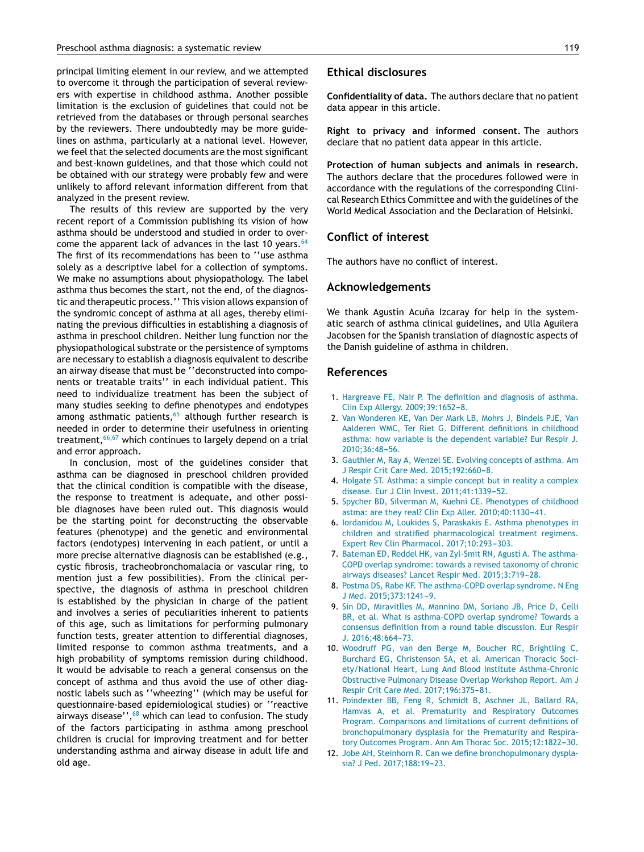<span id="page-12-0"></span>principal limiting element in our review, and we attempted to overcome it through the participation of several reviewers with expertise in childhood asthma. Another possible limitation is the exclusion of guidelines that could not be retrieved from the databases or through personal searches by the reviewers. There undoubtedly may be more guidelines on asthma, particularly at a national level. However, we feel that the selected documents are the most significant and best-known guidelines, and that those which could not be obtained with our strategy were probably few and were unlikely to afford relevant information different from that analyzed in the present review.

The results of this review are supported by the very recent report of a Commission publishing its vision of how asthma should be understood and studied in order to over-come the apparent lack of advances in the last 10 years.<sup>[64](#page-14-0)</sup> The first of its recommendations has been to ''use asthma solely as a descriptive label for a collection of symptoms. We make no assumptions about physiopathology. The label asthma thus becomes the start, not the end, of the diagnostic and therapeutic process.'' This vision allows expansion of the syndromic concept of asthma at all ages, thereby eliminating the previous difficulties in establishing a diagnosis of asthma in preschool children. Neither lung function nor the physiopathological substrate or the persistence of symptoms are necessary to establish a diagnosis equivalent to describe an airway disease that must be ''deconstructed into components or treatable traits'' in each individual patient. This need to individualize treatment has been the subject of many studies seeking to define phenotypes and endotypes among asthmatic patients, $65$  although further research is needed in order to determine their usefulness in orienting treatment, [66,67](#page-14-0) which continues to largely depend on a trial and error approach.

In conclusion, most of the guidelines consider that asthma can be diagnosed in preschool children provided that the clinical condition is compatible with the disease, the response to treatment is adequate, and other possible diagnoses have been ruled out. This diagnosis would be the starting point for deconstructing the observable features (phenotype) and the genetic and environmental factors (endotypes) intervening in each patient, or until a more precise alternative diagnosis can be established (e.g., cystic fibrosis, tracheobronchomalacia or vascular ring, to mention just a few possibilities). From the clinical perspective, the diagnosis of asthma in preschool children is established by the physician in charge of the patient and involves a series of peculiarities inherent to patients of this age, such as limitations for performing pulmonary function tests, greater attention to differential diagnoses, limited response to common asthma treatments, and a high probability of symptoms remission during childhood. It would be advisable to reach a general consensus on the concept of asthma and thus avoid the use of other diagnostic labels such as ''wheezing'' (which may be useful for questionnaire-based epidemiological studies) or ''reactive airways disease", $68$  which can lead to confusion. The study of the factors participating in asthma among preschool children is crucial for improving treatment and for better understanding asthma and airway disease in adult life and old age.

# **Ethical disclosures**

**Confidentiality of data.** The authors declare that no patient data appear in this article.

**Right to privacy and informed consent.** The authors declare that no patient data appear in this article.

**Protection of human subjects and animals in research.** The authors declare that the procedures followed were in accordance with the regulations of the corresponding Clinical Research Ethics Committee and with the guidelines ofthe World Medical Association and the Declaration of Helsinki.

# **Conflict of interest**

The authors have no conflict of interest.

## **Acknowledgements**

We thank Agustín Acuña Izcaray for help in the systematic search of asthma clinical guidelines, and Ulla Aguilera Jacobsen for the Spanish translation of diagnostic aspects of the Danish guideline of asthma in children.

# **References**

- 1. Hargreave FE, Nair P. The definition and diagnosis of asthma. Clin Exp Allergy. 2009;39:1652-8.
- 2. Van Wonderen KE, Van Der Mark LB, Mohrs J, Bindels PJE, Van Aalderen WMC, Ter Riet G. Different definitions in childhood asthma: how variable is the dependent variable? Eur Respir J. 2010:36:48-56.
- 3. Gauthier M, Ray A, Wenzel SE. Evolving concepts of asthma. Am J Respir Crit Care Med. 2015;192:660-8.
- 4. Holgate ST. Asthma: a simple concept but in reality a complex disease. Eur J Clin Invest. 2011;41:1339-52.
- 5. Spycher BD, Silverman M, Kuehni CE. Phenotypes of childhood astma: are they real? Clin Exp Aller. 2010;40:1130-41.
- 6. Iordanidou M, Loukides S, Paraskakis E. Asthma phenotypes in children and stratified pharmacological treatment regimens. Expert Rev Clin Pharmacol. 2017;10:293-303.
- 7. Bateman ED, Reddel HK, van Zyl-Smit RN, Agustí A. The asthma-COPD overlap syndrome: towards a revised taxonomy of chronic airways diseases? Lancet Respir Med. 2015;3:719-28.
- 8. Postma DS, Rabe KF. The asthma-COPD overlap syndrome. N Eng J Med. 2015;373:1241-9.
- 9. Sin DD, Miravitlles M, Mannino DM, Soriano JB, Price D, Celli BR, et al. What is asthma-COPD overlap syndrome? Towards a consensus definition from a round table discussion. Eur Respir  $J. 2016;48:664-73.$
- 10. Woodruff PG, van den Berge M, Boucher RC, Brightling C, Burchard EG, Christenson SA, et al. American Thoracic Society/National Heart, Lung And Blood Institute Asthma-Chronic Obstructive Pulmonary Disease Overlap Workshop Report. Am J Respir Crit Care Med. 2017;196:375-81.
- 11. Poindexter BB, Feng R, Schmidt B, Aschner JL, Ballard RA, Hamvas A, et al. Prematurity and Respiratory Outcomes Program. Comparisons and limitations of current definitions of bronchopulmonary dysplasia for the Prematurity and Respiratory Outcomes Program. Ann Am Thorac Soc. 2015;12:1822-30.
- 12. Jobe AH, Steinhorn R. Can we define bronchopulmonary dysplasia? J Ped. 2017;188:19-23.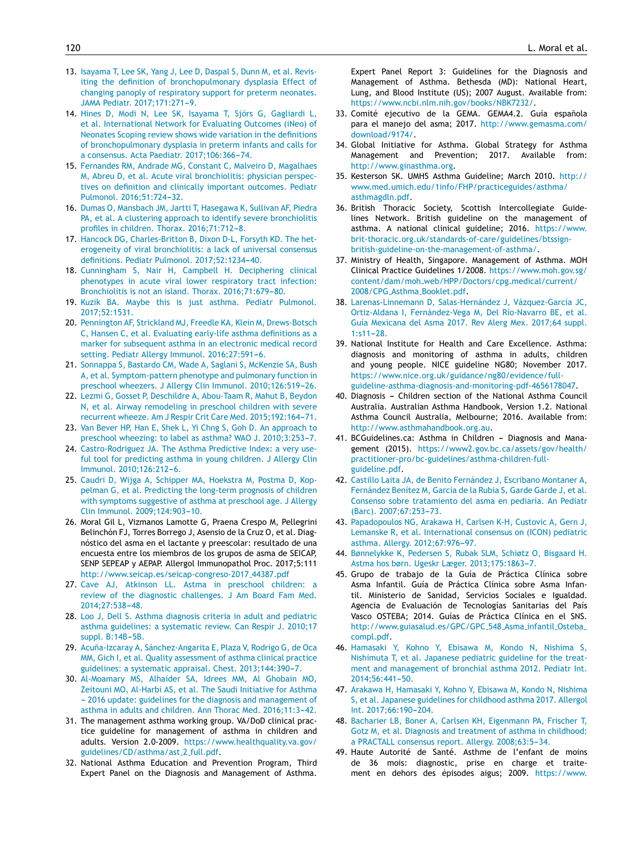- <span id="page-13-0"></span>13. Isayama T, Lee SK, Yang J, Lee D, Daspal S, Dunn M, et al. Revisiting the definition of bronchopulmonary dysplasia Effect of changing panoply of respiratory support for preterm neonates. JAMA Pediatr. 2017;171:271-9.
- 14. Hines D, Modi N, Lee SK, Isayama T, Sjörs G, Gagliardi L, et al. International Network for Evaluating Outcomes (iNeo) of Neonates Scoping review shows wide variation in the definitions of bronchopulmonary dysplasia in preterm infants and calls for a consensus. Acta Paediatr. 2017;106:366-74.
- 15. Fernandes RM, Andrade MG, Constant C, Malveiro D, Magalhaes M, Abreu D, et al. Acute viral bronchiolitis: physician perspectives on definition and clinically important outcomes. Pediatr Pulmonol. 2016;51:724-32.
- 16. Dumas O, Mansbach JM, Jartti T, Hasegawa K, Sullivan AF, Piedra PA, et al. A clustering approach to identify severe bronchiolitis profiles in children. Thorax. 2016;71:712-8.
- 17. Hancock DG, Charles-Britton B, Dixon D-L, Forsyth KD. The heterogeneity of viral bronchiolitis: a lack of universal consensus definitions. Pediatr Pulmonol. 2017;52:1234-40.
- 18. Cunningham S, Nair H, Campbell H. Deciphering clinical phenotypes in acute viral lower respiratory tract infection: Bronchiolitis is not an island. Thorax. 2016;71:679-80.
- 19. Kuzik BA. Maybe this is just asthma. Pediatr Pulmonol. 2017;52:1531.
- 20. Pennington AF, Strickland MJ, Freedle KA, Klein M, Drews-Botsch C, Hansen C, et al. Evaluating early-life asthma definitions as a marker for subsequent asthma in an electronic medical record setting. Pediatr Allergy Immunol. 2016;27:591-6.
- 21. Sonnappa S, Bastardo CM, Wade A, Saglani S, McKenzie SA, Bush A, et al. Symptom-pattern phenotype and pulmonary function in preschool wheezers. J Allergy Clin Immunol. 2010;126:519-26.
- 22. Lezmi G, Gosset P, Deschildre A, Abou-Taam R, Mahut B, Beydon N, et al. Airway remodeling in preschool children with severe recurrent wheeze. Am J Respir Crit Care Med. 2015;192:164-71.
- 23. Van Bever HP, Han E, Shek L, Yi Chng S, Goh D. An approach to preschool wheezing: to label as asthma? WAO J. 2010;3:253-7.
- 24. Castro-Rodriguez JA. The Asthma Predictive Index: a very useful tool for predicting asthma in young children. J Allergy Clin Immunol. 2010;126:212-6.
- 25. Caudri D, Wijga A, Schipper MA, Hoekstra M, Postma D, Koppelman G, et al. Predicting the long-term prognosis of children with symptoms suggestive of asthma at preschool age. J Allergy Clin Immunol. 2009;124:903-10.
- 26. Moral Gil L, Vizmanos Lamotte G, Praena Crespo M, Pellegrini Belinchón FJ, Torres Borrego J, Asensio de la Cruz O, et al. Diagnóstico del asma en el lactante y preescolar: resultado de una encuesta entre los miembros de los grupos de asma de SEICAP, SENP SEPEAP y AEPAP. Allergol Immunopathol Proc. 2017;5:111 [http://www.seicap.es/seicap-congreso-2017](http://www.seicap.es/seicap-congreso-2017_44387.pdf)<sub>-</sub>44387.pdf
- 27. Cave AJ, Atkinson LL. Astma in preschool children: a review of the diagnostic challenges. J Am Board Fam Med. 2014:27:538-48.
- 28. Loo J, Dell S. Asthma diagnosis criteria in adult and pediatric asthma guidelines: a systematic review. Can Respir J. 2010;17 suppl. B:14B-5B.
- 29. Acuña-Izcaray A, Sánchez-Angarita E, Plaza V, Rodrigo G, de Oca MM, Gich I, et al. Quality assessment of asthma clinical practice guidelines: a systematic appraisal. Chest. 2013;144:390-7.
- 30. Al-Moamary MS, Alhaider SA, Idrees MM, Al Ghobain MO, Zeitouni MO, Al-Harbi AS, et al. The Saudi Initiative for Asthma - 2016 update: guidelines for the diagnosis and management of asthma in adults and children. Ann Thorac Med. 2016;11:3-42.
- 31. The management asthma working group. VA/DoD clinical practice guideline for management of asthma in children and adults. Version 2.0-2009. [https://www.healthquality.va.gov/](https://www.healthquality.va.gov/guidelines/CD/asthma/ast_2_full.pdf) [guidelines/CD/asthma/ast](https://www.healthquality.va.gov/guidelines/CD/asthma/ast_2_full.pdf) 2 full.pdf.
- 32. National Asthma Education and Prevention Program, Third Expert Panel on the Diagnosis and Management of Asthma.

Expert Panel Report 3: Guidelines for the Diagnosis and Management of Asthma. Bethesda (MD): National Heart, Lung, and Blood Institute (US); 2007 August. Available from: [https://www.ncbi.nlm.nih.gov/books/NBK7232/.](https://www.ncbi.nlm.nih.gov/books/NBK7232/)

- 33. Comité ejecutivo de la GEMA. GEMA4.2. Guía española para el manejo del asma; 2017. [http://www.gemasma.com/](http://www.gemasma.com/download/9174/) [download/9174/.](http://www.gemasma.com/download/9174/)
- 34. Global Initiative for Asthma. Global Strategy for Asthma Management and Prevention; 2017. Available from: [http://www.ginasthma.org](http://www.ginasthma.org/).
- 35. Kesterson SK. UMHS Asthma Guideline; March 2010. [http://](http://www.med.umich.edu/1info/FHP/practiceguides/asthma/asthmagdln.pdf) [www.med.umich.edu/1info/FHP/practiceguides/asthma/](http://www.med.umich.edu/1info/FHP/practiceguides/asthma/asthmagdln.pdf) [asthmagdln.pdf.](http://www.med.umich.edu/1info/FHP/practiceguides/asthma/asthmagdln.pdf)
- 36. British Thoracic Society, Scottish Intercollegiate Guidelines Network. British guideline on the management of asthma. A national clinical guideline; 2016. [https://www.](https://www.brit-thoracic.org.uk/standards-of-care/guidelines/btssign-british-guideline-on-the-management-of-asthma/) [brit-thoracic.org.uk/standards-of-care/guidelines/btssign](https://www.brit-thoracic.org.uk/standards-of-care/guidelines/btssign-british-guideline-on-the-management-of-asthma/)[british-guideline-on-the-management-of-asthma/](https://www.brit-thoracic.org.uk/standards-of-care/guidelines/btssign-british-guideline-on-the-management-of-asthma/).
- 37. Ministry of Health, Singapore. Management of Asthma. MOH Clinical Practice Guidelines 1/2008. [https://www.moh.gov.sg/](https://www.moh.gov.sg/content/dam/moh_web/HPP/Doctors/cpg_medical/current/2008/CPG_Asthma_Booklet.pdf) content/dam/moh [web/HPP/Doctors/cpg](https://www.moh.gov.sg/content/dam/moh_web/HPP/Doctors/cpg_medical/current/2008/CPG_Asthma_Booklet.pdf) medical/current/ 2008/CPG Asthma [Booklet.pdf](https://www.moh.gov.sg/content/dam/moh_web/HPP/Doctors/cpg_medical/current/2008/CPG_Asthma_Booklet.pdf).
- 38. Larenas-Linnemann D, Salas-Hernández J, Vázquez-García JC, Ortiz-Aldana I, Fernández-Vega M, Del Río-Navarro BE, et al. Guía Mexicana del Asma 2017. Rev Alerg Mex. 2017;64 suppl.  $1:511-28.$
- 39. National Institute for Health and Care Excellence. Asthma: diagnosis and monitoring of asthma in adults, children and young people. NICE guideline NG80; November 2017. [https://www.nice.org.uk/guidance/ng80/evidence/full](https://www.nice.org.uk/guidance/ng80/evidence/full-guideline-asthma-diagnosis-and-monitoring-pdf-4656178047)[guideline-asthma-diagnosis-and-monitoring-pdf-4656178047.](https://www.nice.org.uk/guidance/ng80/evidence/full-guideline-asthma-diagnosis-and-monitoring-pdf-4656178047)
- 40. Diagnosis Children section of the National Asthma Council Australia. Australian Asthma Handbook, Version 1.2. National Asthma Council Australia, Melbourne; 2016. Available from: [http://www.asthmahandbook.org.au](http://www.asthmahandbook.org.au/).
- 41. BCGuidelines.ca: Asthma in Children Diagnosis and Management (2015). [https://www2.gov.bc.ca/assets/gov/health/](https://www2.gov.bc.ca/assets/gov/health/practitioner-pro/bc-guidelines/asthma-children-full-guideline.pdf) [practitioner-pro/bc-guidelines/asthma-children-full](https://www2.gov.bc.ca/assets/gov/health/practitioner-pro/bc-guidelines/asthma-children-full-guideline.pdf)[guideline.pdf.](https://www2.gov.bc.ca/assets/gov/health/practitioner-pro/bc-guidelines/asthma-children-full-guideline.pdf)
- 42. Castillo Laita JA, de Benito Fernández J, Escribano Montaner A, Fernández Benítez M, García de la Rubia S, Garde Garde J, et al. Consenso sobre tratamiento del asma en pediaría. An Pediatr (Barc). 2007;67:253-73.
- 43. Papadopoulos NG, Arakawa H, Carlsen K-H, Custovic A, Gern J, Lemanske R, et al. International consensus on (ICON) pediatric asthma. Allergy. 2012;67:976-97.
- 44. Bønnelykke K, Pedersen S, Rubak SLM, Schiøtz O, Bisgaard H. Astma hos børn. Ugeskr Læger. 2013;175:1863-7.
- 45. Grupo de trabajo de la Guía de Práctica Clínica sobre Asma Infantil. Guía de Práctica Clínica sobre Asma Infantil. Ministerio de Sanidad, Servicios Sociales e Igualdad. Agencia de Evaluación de Tecnologías Sanitarias del País Vasco OSTEBA; 2014. Guías de Práctica Clínica en el SNS. [http://www.guiasalud.es/GPC/GPC](http://www.guiasalud.es/GPC/GPC_548_Asma_infantil_Osteba_compl.pdf)\_548\_Asma\_infantil\_Osteba\_ [compl.pdf.](http://www.guiasalud.es/GPC/GPC_548_Asma_infantil_Osteba_compl.pdf)
- 46. Hamasaki Y, Kohno Y, Ebisawa M, Kondo N, Nishima S, Nishimuta T, et al. Japanese pediatric guideline for the treatment and management of bronchial asthma 2012. Pediatr Int.  $2014:56:441-50.$
- 47. Arakawa H, Hamasaki Y, Kohno Y, Ebisawa M, Kondo N, Nishima S, et al. Japanese guidelines for childhood asthma 2017. Allergol Int. 2017;66:190-204.
- 48. Bacharier LB, Boner A, Carlsen KH, Eigenmann PA, Frischer T, Gotz M, et al. Diagnosis and treatment of asthma in childhood: a PRACTALL consensus report. Allergy. 2008;63:5-34.
- 49. Haute Autorité de Santé. Asthme de l'enfant de moins de 36 mois: diagnostic, prise en charge et traitement en dehors des épisodes aigus; 2009. [https://www.](https://www.has-sante.fr/portail/upload/docs/application/pdf/2009-05/asthme_de_lenfant_de_moins_de_36_mois_-_argumentaire.pdf)